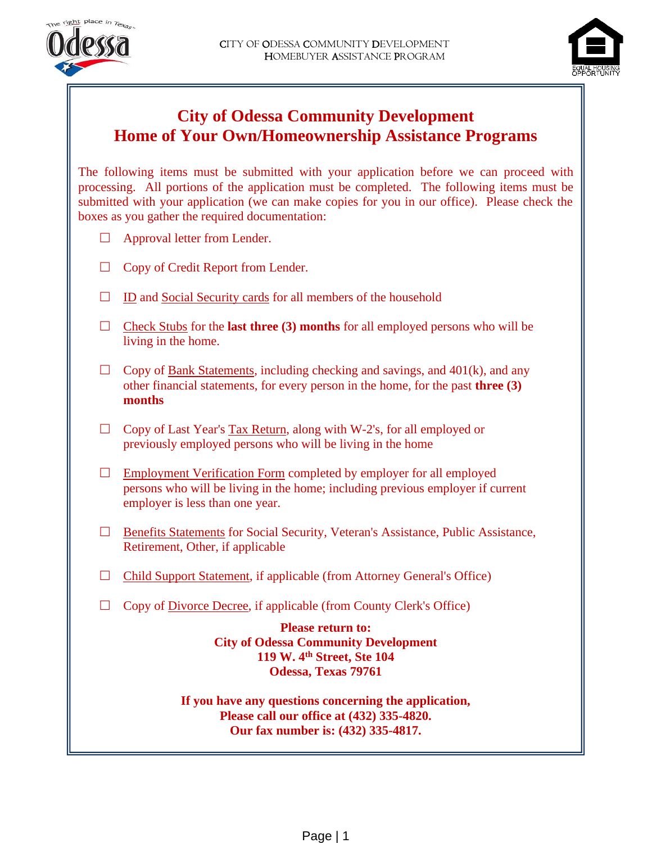



# **City of Odessa Community Development Home of Your Own/Homeownership Assistance Programs**

The following items must be submitted with your application before we can proceed with processing. All portions of the application must be completed. The following items must be submitted with your application (we can make copies for you in our office). Please check the boxes as you gather the required documentation:

- $\Box$  Approval letter from Lender.
- $\Box$  Copy of Credit Report from Lender.
- $\Box$  ID and Social Security cards for all members of the household
- $\Box$  Check Stubs for the **last three (3) months** for all employed persons who will be living in the home.
- $\Box$  Copy of <u>Bank Statements</u>, including checking and savings, and 401(k), and any other financial statements, for every person in the home, for the past **three (3) months**
- $\Box$  Copy of Last Year's Tax Return, along with W-2's, for all employed or previously employed persons who will be living in the home
- $\Box$  Employment Verification Form completed by employer for all employed persons who will be living in the home; including previous employer if current employer is less than one year.
- □ Benefits Statements for Social Security, Veteran's Assistance, Public Assistance, Retirement, Other, if applicable
- $\Box$  Child Support Statement, if applicable (from Attorney General's Office)
- $\Box$  Copy of <u>Divorce Decree</u>, if applicable (from County Clerk's Office)

**Please return to: City of Odessa Community Development 119 W. 4th Street, Ste 104 Odessa, Texas 79761**

**If you have any questions concerning the application, Please call our office at (432) 335-4820. Our fax number is: (432) 335-4817.**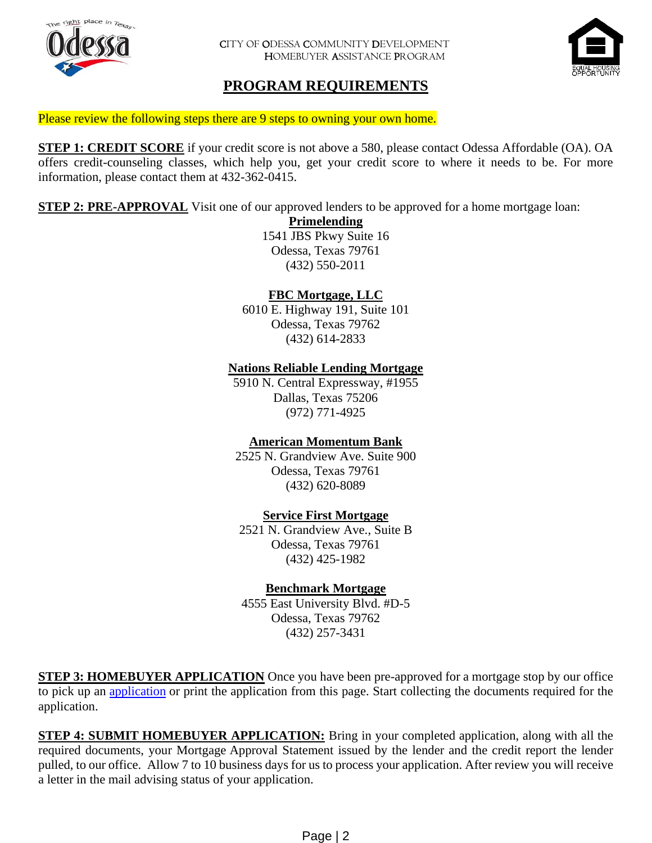



# **PROGRAM REQUIREMENTS**

Please review the following steps there are 9 steps to owning your own home.

**STEP 1: CREDIT SCORE** if your credit score is not above a 580, please contact Odessa Affordable (OA). OA offers credit-counseling classes, which help you, get your credit score to where it needs to be. For more information, please contact them at 432-362-0415.

**STEP 2: PRE-APPROVAL** Visit one of our approved lenders to be approved for a home mortgage loan:

**Primelending** 1541 JBS Pkwy Suite 16 Odessa, Texas 79761 (432) 550-2011

#### **FBC Mortgage, LLC**

6010 E. Highway 191, Suite 101 Odessa, Texas 79762 (432) 614-2833

#### **Nations Reliable Lending Mortgage**

5910 N. Central Expressway, #1955 Dallas, Texas 75206 (972) 771-4925

### **American Momentum Bank**

2525 N. Grandview Ave. Suite 900 Odessa, Texas 79761 (432) 620-8089

#### **Service First Mortgage**

2521 N. Grandview Ave., Suite B Odessa, Texas 79761 (432) 425-1982

#### **Benchmark Mortgage**

4555 East University Blvd. #D-5 Odessa, Texas 79762 (432) 257-3431

**STEP 3: HOMEBUYER APPLICATION** Once you have been pre-approved for a mortgage stop by our office to pick up an [application](https://www.odessa-tx.gov/home/showdocument?id=5771) or print the application from this page. Start collecting the documents required for the application.

**STEP 4: SUBMIT HOMEBUYER APPLICATION:** Bring in your completed application, along with all the required documents, your Mortgage Approval Statement issued by the lender and the credit report the lender pulled, to our office. Allow 7 to 10 business days for us to process your application. After review you will receive a letter in the mail advising status of your application.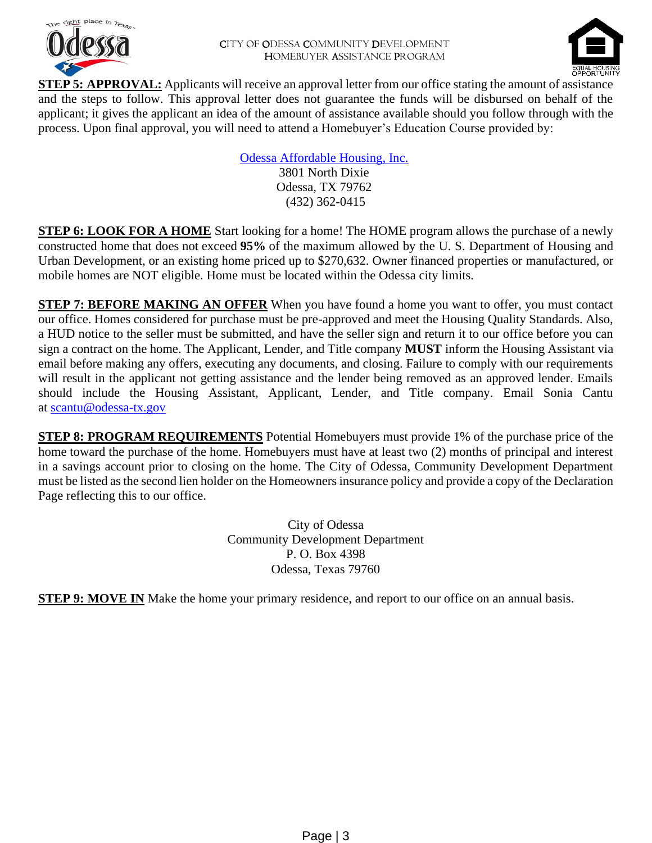



**STEP 5: APPROVAL:** Applicants will receive an approval letter from our office stating the amount of assistance and the steps to follow. This approval letter does not guarantee the funds will be disbursed on behalf of the applicant; it gives the applicant an idea of the amount of assistance available should you follow through with the process. Upon final approval, you will need to attend a Homebuyer's Education Course provided by:

> [Odessa Affordable Housing, Inc.](https://www.odessa-tx.gov/?splash=http%3a%2f%2fwww.odessaaffordablehousing.com%2f&____isexternal=true) 3801 North Dixie Odessa, TX 79762 (432) 362-0415

**STEP 6: LOOK FOR A HOME** Start looking for a home! The HOME program allows the purchase of a newly constructed home that does not exceed **95%** of the maximum allowed by the U. S. Department of Housing and Urban Development, or an existing home priced up to \$270,632. Owner financed properties or manufactured, or mobile homes are NOT eligible. Home must be located within the Odessa city limits.

**STEP 7: BEFORE MAKING AN OFFER** When you have found a home you want to offer, you must contact our office. Homes considered for purchase must be pre-approved and meet the Housing Quality Standards. Also, a HUD notice to the seller must be submitted, and have the seller sign and return it to our office before you can sign a contract on the home. The Applicant, Lender, and Title company **MUST** inform the Housing Assistant via email before making any offers, executing any documents, and closing. Failure to comply with our requirements will result in the applicant not getting assistance and the lender being removed as an approved lender. Emails should include the Housing Assistant, Applicant, Lender, and Title company. Email Sonia Cantu at [scantu@odessa-tx.gov](mailto:scantu@odessa-tx.gov) 

**STEP 8: PROGRAM REQUIREMENTS** Potential Homebuyers must provide 1% of the purchase price of the home toward the purchase of the home. Homebuyers must have at least two (2) months of principal and interest in a savings account prior to closing on the home. The City of Odessa, Community Development Department must be listed as the second lien holder on the Homeowners insurance policy and provide a copy of the Declaration Page reflecting this to our office.

> City of Odessa Community Development Department P. O. Box 4398 Odessa, Texas 79760

**STEP 9: MOVE IN** Make the home your primary residence, and report to our office on an annual basis.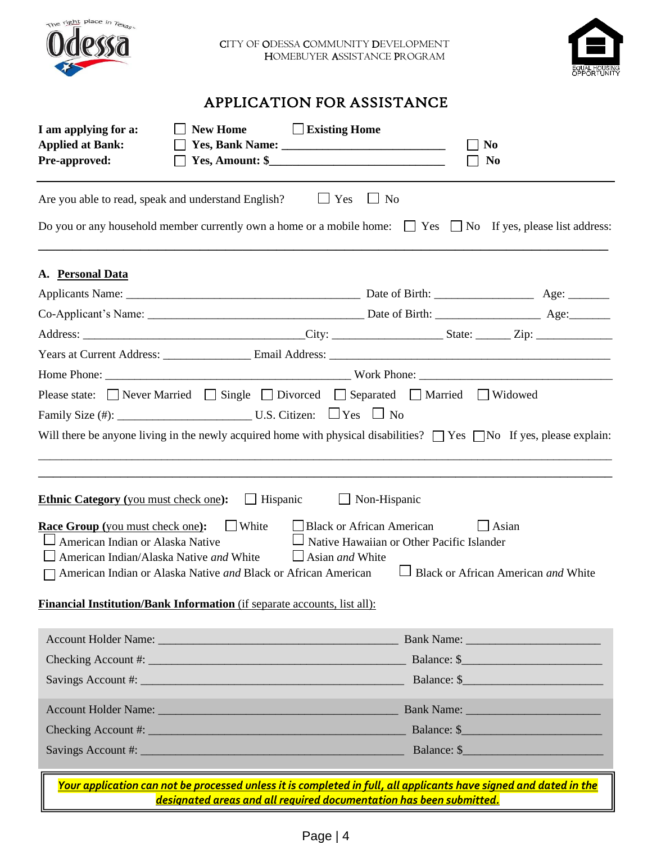



# APPLICATION FOR ASSISTANCE

| I am applying for a:<br><b>New Home</b><br><b>Applied at Bank:</b><br><b>Pre-approved:</b>                                                                                                               | Existing Home<br>N <sub>0</sub><br><b>No</b>                                                                                                                                             |             |
|----------------------------------------------------------------------------------------------------------------------------------------------------------------------------------------------------------|------------------------------------------------------------------------------------------------------------------------------------------------------------------------------------------|-------------|
| Are you able to read, speak and understand English? $\Box$ Yes                                                                                                                                           | $\blacksquare$ No                                                                                                                                                                        |             |
|                                                                                                                                                                                                          | Do you or any household member currently own a home or a mobile home: $\Box$ Yes $\Box$ No If yes, please list address:                                                                  |             |
| A. Personal Data                                                                                                                                                                                         |                                                                                                                                                                                          |             |
|                                                                                                                                                                                                          |                                                                                                                                                                                          |             |
|                                                                                                                                                                                                          |                                                                                                                                                                                          |             |
|                                                                                                                                                                                                          |                                                                                                                                                                                          |             |
|                                                                                                                                                                                                          |                                                                                                                                                                                          |             |
|                                                                                                                                                                                                          |                                                                                                                                                                                          |             |
|                                                                                                                                                                                                          | Please state: □ Never Married □ Single □ Divorced □ Separated □ Married □ Widowed                                                                                                        |             |
|                                                                                                                                                                                                          |                                                                                                                                                                                          |             |
|                                                                                                                                                                                                          | Will there be anyone living in the newly acquired home with physical disabilities? $\Box$ Yes $\Box$ No If yes, please explain:                                                          |             |
| <b>Ethnic Category</b> (you must check one):                                                                                                                                                             | $\Box$ Hispanic<br>Non-Hispanic                                                                                                                                                          |             |
| <b>White</b><br><b>Race Group</b> (you must check one):<br>American Indian or Alaska Native<br>American Indian/Alaska Native and White<br>American Indian or Alaska Native and Black or African American | $\Box$ Black or African American<br>Asian<br>Native Hawaiian or Other Pacific Islander<br>$\Box$ Asian <i>and</i> White<br>Black or African American and White                           |             |
| <b>Financial Institution/Bank Information</b> (if separate accounts, list all):                                                                                                                          |                                                                                                                                                                                          |             |
|                                                                                                                                                                                                          |                                                                                                                                                                                          |             |
|                                                                                                                                                                                                          |                                                                                                                                                                                          |             |
|                                                                                                                                                                                                          |                                                                                                                                                                                          |             |
|                                                                                                                                                                                                          |                                                                                                                                                                                          |             |
|                                                                                                                                                                                                          |                                                                                                                                                                                          |             |
|                                                                                                                                                                                                          |                                                                                                                                                                                          | Balance: \$ |
|                                                                                                                                                                                                          | Your application can not be processed unless it is completed in full, all applicants have signed and dated in the<br>designated areas and all required documentation has been submitted. |             |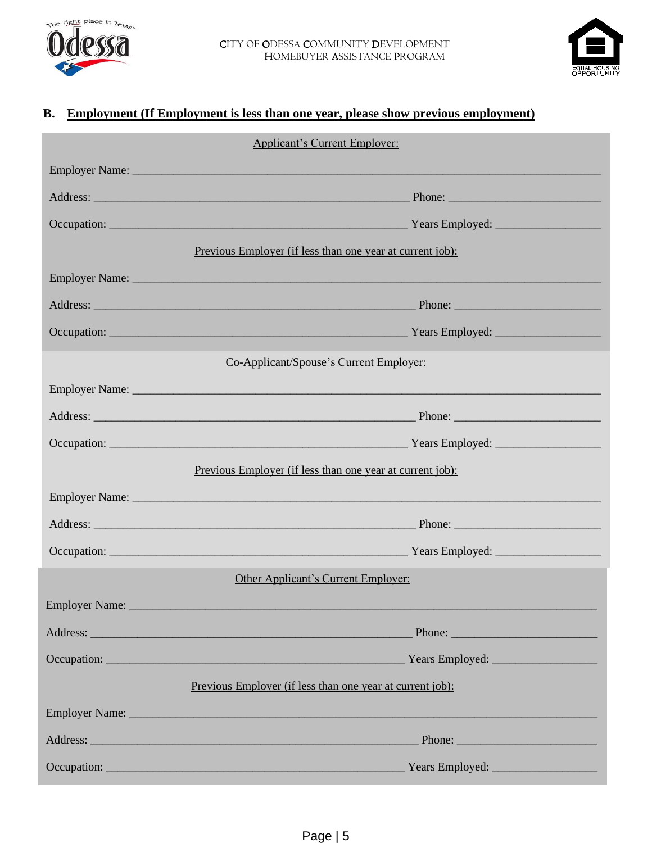



# **B. Employment (If Employment is less than one year, please show previous employment)**

| <b>Applicant's Current Employer:</b> |                                                                                                                                                                                                                               |  |  |  |  |
|--------------------------------------|-------------------------------------------------------------------------------------------------------------------------------------------------------------------------------------------------------------------------------|--|--|--|--|
|                                      |                                                                                                                                                                                                                               |  |  |  |  |
|                                      |                                                                                                                                                                                                                               |  |  |  |  |
|                                      |                                                                                                                                                                                                                               |  |  |  |  |
|                                      | Previous Employer (if less than one year at current job):                                                                                                                                                                     |  |  |  |  |
|                                      |                                                                                                                                                                                                                               |  |  |  |  |
|                                      |                                                                                                                                                                                                                               |  |  |  |  |
|                                      |                                                                                                                                                                                                                               |  |  |  |  |
|                                      | Co-Applicant/Spouse's Current Employer:                                                                                                                                                                                       |  |  |  |  |
|                                      |                                                                                                                                                                                                                               |  |  |  |  |
|                                      |                                                                                                                                                                                                                               |  |  |  |  |
|                                      |                                                                                                                                                                                                                               |  |  |  |  |
|                                      | Previous Employer (if less than one year at current job):                                                                                                                                                                     |  |  |  |  |
|                                      |                                                                                                                                                                                                                               |  |  |  |  |
|                                      |                                                                                                                                                                                                                               |  |  |  |  |
|                                      |                                                                                                                                                                                                                               |  |  |  |  |
|                                      | Other Applicant's Current Employer:                                                                                                                                                                                           |  |  |  |  |
| <b>Employer Name:</b>                |                                                                                                                                                                                                                               |  |  |  |  |
|                                      |                                                                                                                                                                                                                               |  |  |  |  |
|                                      |                                                                                                                                                                                                                               |  |  |  |  |
|                                      | Previous Employer (if less than one year at current job):                                                                                                                                                                     |  |  |  |  |
|                                      | Employer Name: 1988 and 1988 and 1988 and 1988 and 1988 and 1988 and 1988 and 1988 and 1988 and 1988 and 1988 and 1988 and 1988 and 1988 and 1988 and 1988 and 1988 and 1988 and 1988 and 1988 and 1988 and 1988 and 1988 and |  |  |  |  |
|                                      |                                                                                                                                                                                                                               |  |  |  |  |
|                                      |                                                                                                                                                                                                                               |  |  |  |  |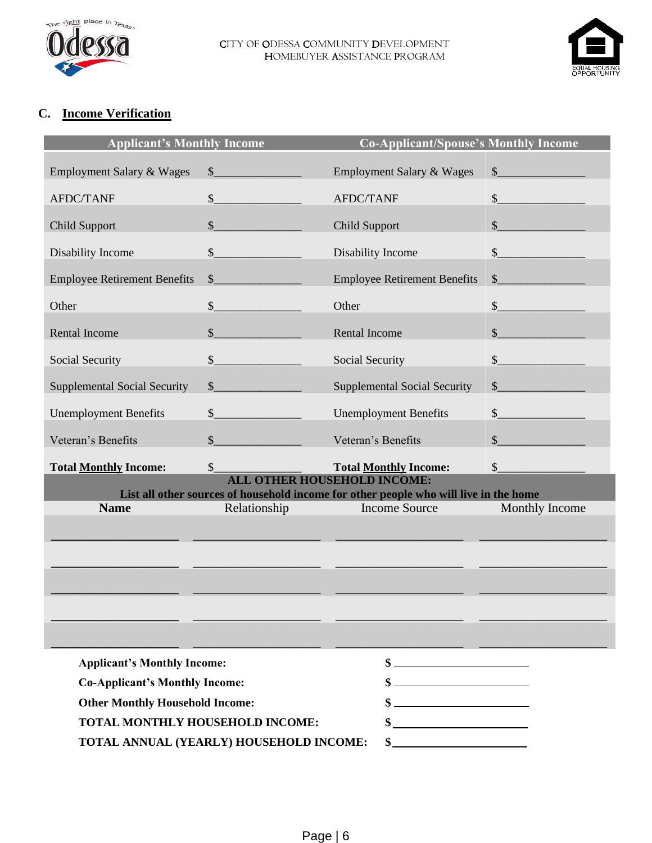



## **C. Income Verification**

| <b>Applicant's Monthly Income</b>      |                                         | <b>Co-Applicant/Spouse's Monthly Income</b>                                                                                 |                                                                                                                                                                                                                                                                                                                                                                              |
|----------------------------------------|-----------------------------------------|-----------------------------------------------------------------------------------------------------------------------------|------------------------------------------------------------------------------------------------------------------------------------------------------------------------------------------------------------------------------------------------------------------------------------------------------------------------------------------------------------------------------|
| <b>Employment Salary &amp; Wages</b>   | $\sim$                                  | Employment Salary & Wages                                                                                                   | $\mathbb{S}$                                                                                                                                                                                                                                                                                                                                                                 |
| <b>AFDC/TANF</b>                       | $\int$                                  | <b>AFDC/TANF</b>                                                                                                            | $\sim$                                                                                                                                                                                                                                                                                                                                                                       |
| <b>Child Support</b>                   | $\frac{1}{2}$                           | Child Support                                                                                                               | $\sim$                                                                                                                                                                                                                                                                                                                                                                       |
| Disability Income                      | $\sim$                                  | Disability Income                                                                                                           | $\frac{\S_{\frac{1}{2}}}{\S_{\frac{1}{2}}}{\S_{\frac{1}{2}}}{\S_{\frac{1}{2}}}{\S_{\frac{1}{2}}}{\S_{\frac{1}{2}}}{\S_{\frac{1}{2}}}{\S_{\frac{1}{2}}}{\S_{\frac{1}{2}}}{\S_{\frac{1}{2}}}{\S_{\frac{1}{2}}}{\S_{\frac{1}{2}}}{\S_{\frac{1}{2}}}{\S_{\frac{1}{2}}}{\S_{\frac{1}{2}}}{\S_{\frac{1}{2}}}{\S_{\frac{1}{2}}}{\S_{\frac{1}{2}}}{\S_{\frac{1}{2}}}{\S_{\frac{1}{2$ |
| <b>Employee Retirement Benefits</b>    | $\sim$                                  | <b>Employee Retirement Benefits</b>                                                                                         | $\sim$                                                                                                                                                                                                                                                                                                                                                                       |
| Other                                  | $\frac{1}{2}$                           | Other                                                                                                                       | s                                                                                                                                                                                                                                                                                                                                                                            |
| <b>Rental Income</b>                   | $\sim$                                  | Rental Income                                                                                                               |                                                                                                                                                                                                                                                                                                                                                                              |
| Social Security                        | $\sim$                                  | Social Security                                                                                                             | $\frac{1}{2}$                                                                                                                                                                                                                                                                                                                                                                |
| <b>Supplemental Social Security</b>    | $\mathbb{S}$                            | <b>Supplemental Social Security</b>                                                                                         | $\mathbb{S}$ and $\mathbb{S}$ and $\mathbb{S}$ and $\mathbb{S}$                                                                                                                                                                                                                                                                                                              |
| <b>Unemployment Benefits</b>           | $\sim$                                  | <b>Unemployment Benefits</b>                                                                                                | $\sim$                                                                                                                                                                                                                                                                                                                                                                       |
| Veteran's Benefits                     | $\sim$                                  | Veteran's Benefits                                                                                                          |                                                                                                                                                                                                                                                                                                                                                                              |
| <b>Total Monthly Income:</b>           | $\mathbb{S}$                            | <b>Total Monthly Income:</b>                                                                                                | $\sim$                                                                                                                                                                                                                                                                                                                                                                       |
|                                        |                                         | <b>ALL OTHER HOUSEHOLD INCOME:</b><br>List all other sources of household income for other people who will live in the home |                                                                                                                                                                                                                                                                                                                                                                              |
| <b>Name</b>                            | Relationship                            | <b>Income Source</b>                                                                                                        | Monthly Income                                                                                                                                                                                                                                                                                                                                                               |
|                                        |                                         |                                                                                                                             |                                                                                                                                                                                                                                                                                                                                                                              |
|                                        |                                         |                                                                                                                             |                                                                                                                                                                                                                                                                                                                                                                              |
|                                        |                                         |                                                                                                                             |                                                                                                                                                                                                                                                                                                                                                                              |
|                                        |                                         |                                                                                                                             |                                                                                                                                                                                                                                                                                                                                                                              |
|                                        |                                         |                                                                                                                             |                                                                                                                                                                                                                                                                                                                                                                              |
| <b>Applicant's Monthly Income:</b>     |                                         |                                                                                                                             |                                                                                                                                                                                                                                                                                                                                                                              |
| <b>Co-Applicant's Monthly Income:</b>  |                                         | <u> 1980 - Johann Barbara, martxa al</u>                                                                                    |                                                                                                                                                                                                                                                                                                                                                                              |
| <b>Other Monthly Household Income:</b> |                                         |                                                                                                                             |                                                                                                                                                                                                                                                                                                                                                                              |
| TOTAL MONTHLY HOUSEHOLD INCOME:        |                                         |                                                                                                                             |                                                                                                                                                                                                                                                                                                                                                                              |
|                                        | TOTAL ANNUAL (YEARLY) HOUSEHOLD INCOME: | $\mathbf{s}_-$                                                                                                              |                                                                                                                                                                                                                                                                                                                                                                              |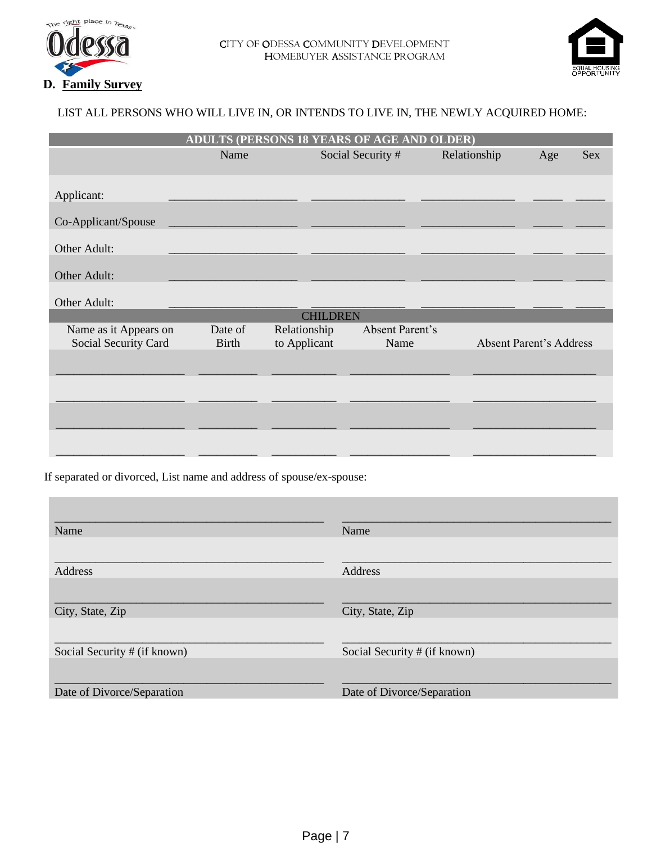



#### LIST ALL PERSONS WHO WILL LIVE IN, OR INTENDS TO LIVE IN, THE NEWLY ACQUIRED HOME:

| ADULTS (PERSONS 18 YEARS OF AGE AND OLDER)    |                         |                              |                         |              |                                |            |  |  |  |
|-----------------------------------------------|-------------------------|------------------------------|-------------------------|--------------|--------------------------------|------------|--|--|--|
|                                               | Name                    |                              | Social Security #       | Relationship | Age                            | <b>Sex</b> |  |  |  |
| Applicant:                                    |                         |                              |                         |              |                                |            |  |  |  |
| Co-Applicant/Spouse                           |                         |                              |                         |              |                                |            |  |  |  |
| Other Adult:                                  |                         |                              |                         |              |                                |            |  |  |  |
| Other Adult:                                  |                         |                              |                         |              |                                |            |  |  |  |
| Other Adult:                                  |                         |                              |                         |              |                                |            |  |  |  |
|                                               |                         | <b>CHILDREN</b>              |                         |              |                                |            |  |  |  |
| Name as it Appears on<br>Social Security Card | Date of<br><b>Birth</b> | Relationship<br>to Applicant | Absent Parent's<br>Name |              | <b>Absent Parent's Address</b> |            |  |  |  |
|                                               |                         |                              |                         |              |                                |            |  |  |  |
|                                               |                         |                              |                         |              |                                |            |  |  |  |
|                                               |                         |                              |                         |              |                                |            |  |  |  |
|                                               |                         |                              |                         |              |                                |            |  |  |  |
|                                               |                         |                              |                         |              |                                |            |  |  |  |

If separated or divorced, List name and address of spouse/ex-spouse:

| Name                         | Name                         |
|------------------------------|------------------------------|
| Address                      | Address                      |
|                              |                              |
| City, State, Zip             | City, State, Zip             |
| Social Security # (if known) | Social Security # (if known) |
| Date of Divorce/Separation   | Date of Divorce/Separation   |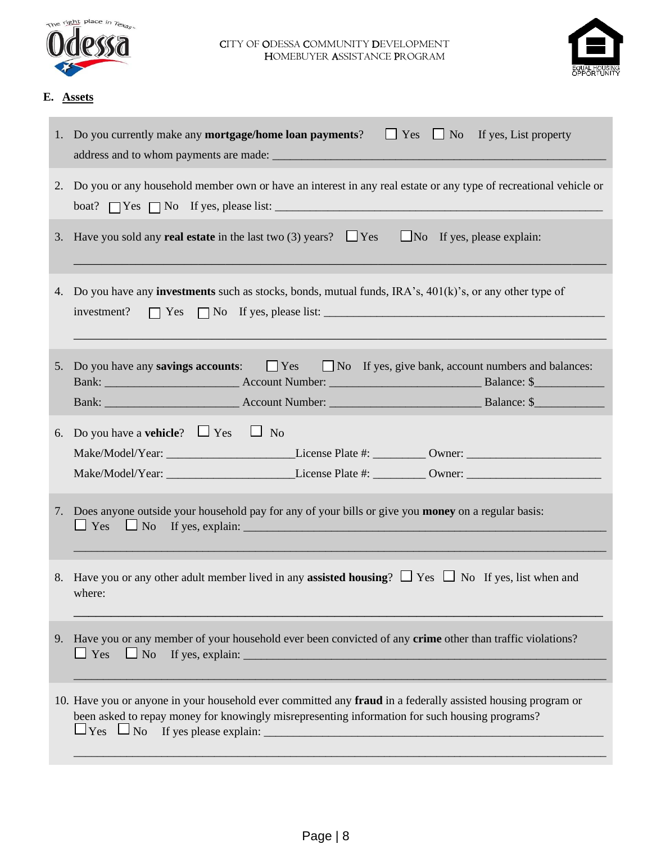



#### **E. Assets**

|    | 1. Do you currently make any <b>mortgage/home loan payments</b> ? $\Box$ Yes $\Box$ No If yes, List property                                                                                                   |  |  |  |  |  |
|----|----------------------------------------------------------------------------------------------------------------------------------------------------------------------------------------------------------------|--|--|--|--|--|
|    | 2. Do you or any household member own or have an interest in any real estate or any type of recreational vehicle or<br>boat? $\Box$ Yes $\Box$ No If yes, please list: $\Box$                                  |  |  |  |  |  |
|    | 3. Have you sold any <b>real estate</b> in the last two (3) years? $\Box$ Yes $\Box$ No If yes, please explain:                                                                                                |  |  |  |  |  |
|    | 4. Do you have any <b>investments</b> such as stocks, bonds, mutual funds, IRA's, 401(k)'s, or any other type of<br>investment? $\Box$ Yes $\Box$ No If yes, please list: $\Box$                               |  |  |  |  |  |
| 5. | Do you have any <b>savings accounts</b> : $\Box$ Yes<br>$\Box$ No If yes, give bank, account numbers and balances:                                                                                             |  |  |  |  |  |
|    |                                                                                                                                                                                                                |  |  |  |  |  |
|    | 6. Do you have a <b>vehicle</b> ? $\Box$ Yes $\Box$ No<br>Make/Model/Year: _____________________________License Plate #: ___________ Owner: ____________________________                                       |  |  |  |  |  |
|    | Make/Model/Year: ____________________________License Plate #: ___________ Owner: _____________________________                                                                                                 |  |  |  |  |  |
|    |                                                                                                                                                                                                                |  |  |  |  |  |
|    | 7. Does anyone outside your household pay for any of your bills or give you money on a regular basis:<br>$\Box$ Yes $\Box$ No If yes, explain: $\Box$                                                          |  |  |  |  |  |
|    | 8. Have you or any other adult member lived in any <b>assisted housing</b> ? $\Box$ Yes $\Box$ No If yes, list when and<br>where:                                                                              |  |  |  |  |  |
|    | 9. Have you or any member of your household ever been convicted of any crime other than traffic violations?<br>$\Box$ Yes<br>$\Box$ No<br>If yes, explain: $\sqrt{\frac{2}{\pi}}$                              |  |  |  |  |  |
|    | 10. Have you or anyone in your household ever committed any fraud in a federally assisted housing program or<br>been asked to repay money for knowingly misrepresenting information for such housing programs? |  |  |  |  |  |
|    |                                                                                                                                                                                                                |  |  |  |  |  |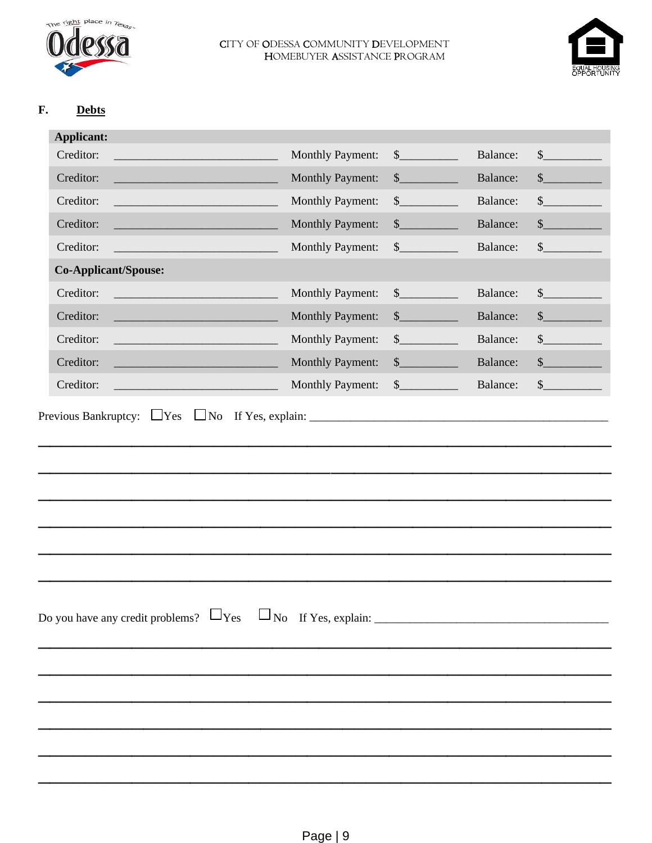

#### F. **Debts**

| <b>Applicant:</b>                                                                                                                  |                         |                                                                                                                                                                                                                                                                                                                                                                              |          |               |
|------------------------------------------------------------------------------------------------------------------------------------|-------------------------|------------------------------------------------------------------------------------------------------------------------------------------------------------------------------------------------------------------------------------------------------------------------------------------------------------------------------------------------------------------------------|----------|---------------|
| Creditor:<br><u> 1999 - Johann Barn, mars eta industrial eta industrial eta industrial eta industrial eta industrial eta indus</u> | <b>Monthly Payment:</b> | $\sim$                                                                                                                                                                                                                                                                                                                                                                       | Balance: | $\mathcal{S}$ |
| Creditor:                                                                                                                          | <b>Monthly Payment:</b> | $\frac{\S_{\frac{1}{2}}}{\S_{\frac{1}{2}}}{\S_{\frac{1}{2}}}{\S_{\frac{1}{2}}}{\S_{\frac{1}{2}}}{\S_{\frac{1}{2}}}{\S_{\frac{1}{2}}}{\S_{\frac{1}{2}}}{\S_{\frac{1}{2}}}{\S_{\frac{1}{2}}}{\S_{\frac{1}{2}}}{\S_{\frac{1}{2}}}{\S_{\frac{1}{2}}}{\S_{\frac{1}{2}}}{\S_{\frac{1}{2}}}{\S_{\frac{1}{2}}}{\S_{\frac{1}{2}}}{\S_{\frac{1}{2}}}{\S_{\frac{1}{2}}}{\S_{\frac{1}{2$ | Balance: | $\mathbb{S}$  |
| Creditor:<br><u> 1980 - Johann Barn, mars an t-Amerikaansk ferstjer op de oars</u>                                                 | <b>Monthly Payment:</b> | $\mathbb{S}$                                                                                                                                                                                                                                                                                                                                                                 | Balance: | $\frac{1}{2}$ |
| Creditor:<br><u> 1989 - Johann Barn, mars eta bainar e</u>                                                                         | <b>Monthly Payment:</b> | $\frac{\S_{\frac{1}{2}}}{\S_{\frac{1}{2}}}{\S_{\frac{1}{2}}}{\S_{\frac{1}{2}}}{\S_{\frac{1}{2}}}{\S_{\frac{1}{2}}}{\S_{\frac{1}{2}}}{\S_{\frac{1}{2}}}{\S_{\frac{1}{2}}}{\S_{\frac{1}{2}}}{\S_{\frac{1}{2}}}{\S_{\frac{1}{2}}}{\S_{\frac{1}{2}}}{\S_{\frac{1}{2}}}{\S_{\frac{1}{2}}}{\S_{\frac{1}{2}}}{\S_{\frac{1}{2}}}{\S_{\frac{1}{2}}}{\S_{\frac{1}{2}}}{\S_{\frac{1}{2$ | Balance: | \$            |
| Creditor:<br><u> 1990 - Johann Barnett, fransk politik (</u>                                                                       | <b>Monthly Payment:</b> | $\frac{\S_{\frac{1}{2}}}{\S_{\frac{1}{2}}}{\S_{\frac{1}{2}}}{\S_{\frac{1}{2}}}{\S_{\frac{1}{2}}}{\S_{\frac{1}{2}}}{\S_{\frac{1}{2}}}{\S_{\frac{1}{2}}}{\S_{\frac{1}{2}}}{\S_{\frac{1}{2}}}{\S_{\frac{1}{2}}}{\S_{\frac{1}{2}}}{\S_{\frac{1}{2}}}{\S_{\frac{1}{2}}}{\S_{\frac{1}{2}}}{\S_{\frac{1}{2}}}{\S_{\frac{1}{2}}}{\S_{\frac{1}{2}}}{\S_{\frac{1}{2}}}{\S_{\frac{1}{2$ | Balance: | \$            |
| <b>Co-Applicant/Spouse:</b>                                                                                                        |                         |                                                                                                                                                                                                                                                                                                                                                                              |          |               |
| Creditor:                                                                                                                          | <b>Monthly Payment:</b> | $\sim$                                                                                                                                                                                                                                                                                                                                                                       | Balance: | $\mathbb{S}$  |
| Creditor:<br><u> 1989 - Johann Barn, mars eta bainar e</u>                                                                         | <b>Monthly Payment:</b> | $\sim$                                                                                                                                                                                                                                                                                                                                                                       | Balance: | \$            |
| Creditor:<br><u> 1980 - Johann Barn, mars eta bainar eta industrial eta industrial eta industrial eta industrial eta industria</u> | <b>Monthly Payment:</b> | $\sim$                                                                                                                                                                                                                                                                                                                                                                       | Balance: | \$            |
| Creditor:<br><u> 1988 - Johann Barn, mars eta bainar eta i</u>                                                                     | <b>Monthly Payment:</b> | $\sim$                                                                                                                                                                                                                                                                                                                                                                       | Balance: | \$            |
| Creditor:                                                                                                                          | <b>Monthly Payment:</b> | $\frac{\S_{\frac{1}{2}}}{\S_{\frac{1}{2}}}{\S_{\frac{1}{2}}}{\S_{\frac{1}{2}}}{\S_{\frac{1}{2}}}{\S_{\frac{1}{2}}}{\S_{\frac{1}{2}}}{\S_{\frac{1}{2}}}{\S_{\frac{1}{2}}}{\S_{\frac{1}{2}}}{\S_{\frac{1}{2}}}{\S_{\frac{1}{2}}}{\S_{\frac{1}{2}}}{\S_{\frac{1}{2}}}{\S_{\frac{1}{2}}}{\S_{\frac{1}{2}}}{\S_{\frac{1}{2}}}{\S_{\frac{1}{2}}}{\S_{\frac{1}{2}}}{\S_{\frac{1}{2$ | Balance: | $\mathcal{S}$ |
|                                                                                                                                    |                         |                                                                                                                                                                                                                                                                                                                                                                              |          |               |
|                                                                                                                                    |                         |                                                                                                                                                                                                                                                                                                                                                                              |          |               |
|                                                                                                                                    |                         |                                                                                                                                                                                                                                                                                                                                                                              |          |               |
|                                                                                                                                    |                         |                                                                                                                                                                                                                                                                                                                                                                              |          |               |
|                                                                                                                                    |                         |                                                                                                                                                                                                                                                                                                                                                                              |          |               |
|                                                                                                                                    |                         |                                                                                                                                                                                                                                                                                                                                                                              |          |               |
|                                                                                                                                    |                         |                                                                                                                                                                                                                                                                                                                                                                              |          |               |
|                                                                                                                                    |                         |                                                                                                                                                                                                                                                                                                                                                                              |          |               |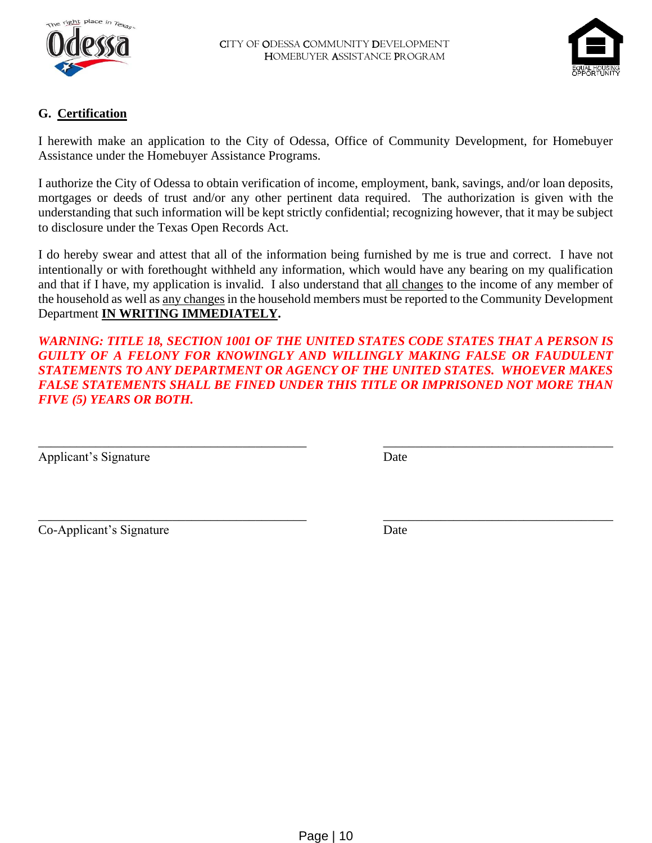



## **G. Certification**

I herewith make an application to the City of Odessa, Office of Community Development, for Homebuyer Assistance under the Homebuyer Assistance Programs.

I authorize the City of Odessa to obtain verification of income, employment, bank, savings, and/or loan deposits, mortgages or deeds of trust and/or any other pertinent data required. The authorization is given with the understanding that such information will be kept strictly confidential; recognizing however, that it may be subject to disclosure under the Texas Open Records Act.

I do hereby swear and attest that all of the information being furnished by me is true and correct. I have not intentionally or with forethought withheld any information, which would have any bearing on my qualification and that if I have, my application is invalid. I also understand that all changes to the income of any member of the household as well as any changes in the household members must be reported to the Community Development Department **IN WRITING IMMEDIATELY.**

*WARNING: TITLE 18, SECTION 1001 OF THE UNITED STATES CODE STATES THAT A PERSON IS GUILTY OF A FELONY FOR KNOWINGLY AND WILLINGLY MAKING FALSE OR FAUDULENT STATEMENTS TO ANY DEPARTMENT OR AGENCY OF THE UNITED STATES. WHOEVER MAKES FALSE STATEMENTS SHALL BE FINED UNDER THIS TITLE OR IMPRISONED NOT MORE THAN FIVE (5) YEARS OR BOTH.*

\_\_\_\_\_\_\_\_\_\_\_\_\_\_\_\_\_\_\_\_\_\_\_\_\_\_\_\_\_\_\_\_\_\_\_\_\_\_\_\_\_\_ \_\_\_\_\_\_\_\_\_\_\_\_\_\_\_\_\_\_\_\_\_\_\_\_\_\_\_\_\_\_\_\_\_\_\_\_

\_\_\_\_\_\_\_\_\_\_\_\_\_\_\_\_\_\_\_\_\_\_\_\_\_\_\_\_\_\_\_\_\_\_\_\_\_\_\_\_\_\_ \_\_\_\_\_\_\_\_\_\_\_\_\_\_\_\_\_\_\_\_\_\_\_\_\_\_\_\_\_\_\_\_\_\_\_\_

Applicant's Signature Date

Co-Applicant's Signature Date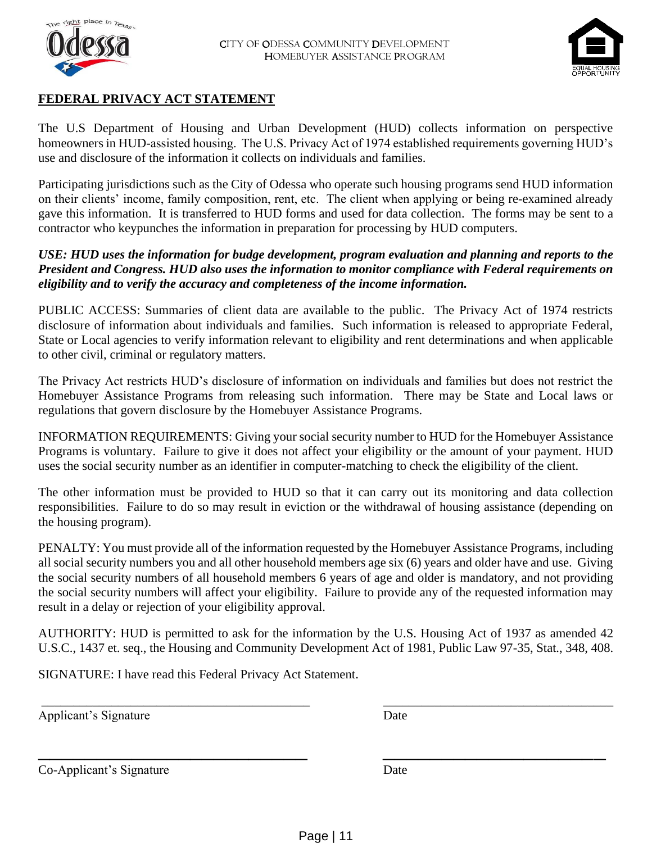



## **FEDERAL PRIVACY ACT STATEMENT**

The U.S Department of Housing and Urban Development (HUD) collects information on perspective homeowners in HUD-assisted housing. The U.S. Privacy Act of 1974 established requirements governing HUD's use and disclosure of the information it collects on individuals and families.

Participating jurisdictions such as the City of Odessa who operate such housing programs send HUD information on their clients' income, family composition, rent, etc. The client when applying or being re-examined already gave this information. It is transferred to HUD forms and used for data collection. The forms may be sent to a contractor who keypunches the information in preparation for processing by HUD computers.

#### *USE: HUD uses the information for budge development, program evaluation and planning and reports to the President and Congress. HUD also uses the information to monitor compliance with Federal requirements on eligibility and to verify the accuracy and completeness of the income information.*

PUBLIC ACCESS: Summaries of client data are available to the public. The Privacy Act of 1974 restricts disclosure of information about individuals and families. Such information is released to appropriate Federal, State or Local agencies to verify information relevant to eligibility and rent determinations and when applicable to other civil, criminal or regulatory matters.

The Privacy Act restricts HUD's disclosure of information on individuals and families but does not restrict the Homebuyer Assistance Programs from releasing such information. There may be State and Local laws or regulations that govern disclosure by the Homebuyer Assistance Programs.

INFORMATION REQUIREMENTS: Giving your social security number to HUD for the Homebuyer Assistance Programs is voluntary. Failure to give it does not affect your eligibility or the amount of your payment. HUD uses the social security number as an identifier in computer-matching to check the eligibility of the client.

The other information must be provided to HUD so that it can carry out its monitoring and data collection responsibilities. Failure to do so may result in eviction or the withdrawal of housing assistance (depending on the housing program).

PENALTY: You must provide all of the information requested by the Homebuyer Assistance Programs, including all social security numbers you and all other household members age six (6) years and older have and use. Giving the social security numbers of all household members 6 years of age and older is mandatory, and not providing the social security numbers will affect your eligibility. Failure to provide any of the requested information may result in a delay or rejection of your eligibility approval.

AUTHORITY: HUD is permitted to ask for the information by the U.S. Housing Act of 1937 as amended 42 U.S.C., 1437 et. seq., the Housing and Community Development Act of 1981, Public Law 97-35, Stat., 348, 408.

\_\_\_\_\_\_\_\_\_\_\_\_\_\_\_\_\_\_\_\_\_\_\_\_\_\_\_\_\_\_\_\_\_\_\_\_\_\_\_\_\_\_ \_\_\_\_\_\_\_\_\_\_\_\_\_\_\_\_\_\_\_\_\_\_\_\_\_\_\_\_\_\_\_\_\_\_\_\_

\_\_\_\_\_\_\_\_\_\_\_\_\_\_\_\_\_\_\_\_\_\_\_ \_\_\_\_\_\_\_\_\_\_\_\_\_\_\_\_\_\_\_

SIGNATURE: I have read this Federal Privacy Act Statement.

Applicant's Signature Date

Co-Applicant's Signature Date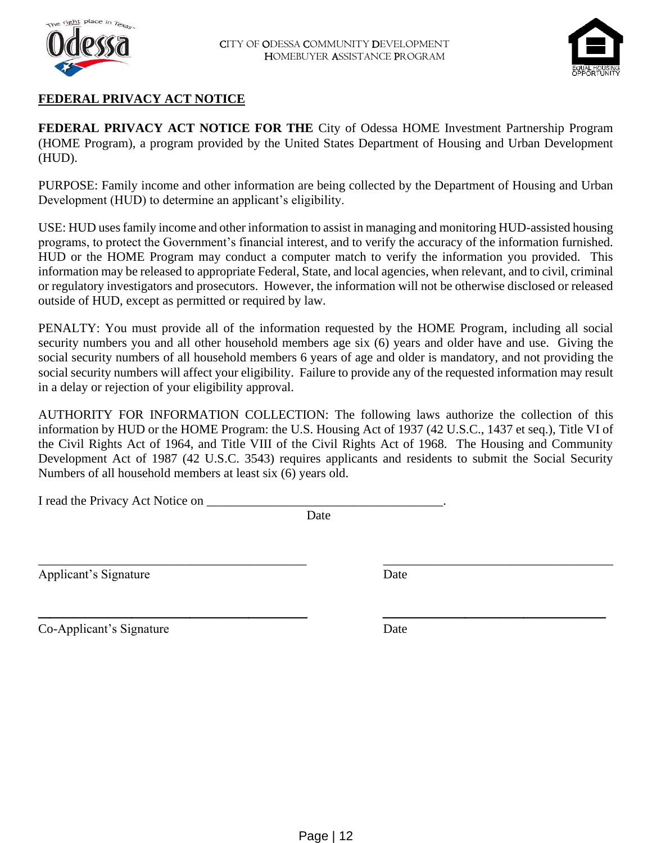



## **FEDERAL PRIVACY ACT NOTICE**

**FEDERAL PRIVACY ACT NOTICE FOR THE** City of Odessa HOME Investment Partnership Program (HOME Program), a program provided by the United States Department of Housing and Urban Development (HUD).

PURPOSE: Family income and other information are being collected by the Department of Housing and Urban Development (HUD) to determine an applicant's eligibility.

USE: HUD uses family income and other information to assist in managing and monitoring HUD-assisted housing programs, to protect the Government's financial interest, and to verify the accuracy of the information furnished. HUD or the HOME Program may conduct a computer match to verify the information you provided. This information may be released to appropriate Federal, State, and local agencies, when relevant, and to civil, criminal or regulatory investigators and prosecutors. However, the information will not be otherwise disclosed or released outside of HUD, except as permitted or required by law.

PENALTY: You must provide all of the information requested by the HOME Program, including all social security numbers you and all other household members age six (6) years and older have and use. Giving the social security numbers of all household members 6 years of age and older is mandatory, and not providing the social security numbers will affect your eligibility. Failure to provide any of the requested information may result in a delay or rejection of your eligibility approval.

AUTHORITY FOR INFORMATION COLLECTION: The following laws authorize the collection of this information by HUD or the HOME Program: the U.S. Housing Act of 1937 (42 U.S.C., 1437 et seq.), Title VI of the Civil Rights Act of 1964, and Title VIII of the Civil Rights Act of 1968. The Housing and Community Development Act of 1987 (42 U.S.C. 3543) requires applicants and residents to submit the Social Security Numbers of all household members at least six (6) years old.

I read the Privacy Act Notice on \_\_\_\_\_\_\_\_\_\_\_\_\_\_\_\_\_\_\_\_\_\_\_\_\_\_\_\_\_\_\_\_\_\_\_\_\_.

Date

\_\_\_\_\_\_\_\_\_\_\_\_\_\_\_\_\_\_\_\_\_\_\_\_\_\_\_\_\_\_\_\_\_\_\_\_\_\_\_\_\_\_ \_\_\_\_\_\_\_\_\_\_\_\_\_\_\_\_\_\_\_\_\_\_\_\_\_\_\_\_\_\_\_\_\_\_\_\_

\_\_\_\_\_\_\_\_\_\_\_\_\_\_\_\_\_\_\_\_\_\_\_ \_\_\_\_\_\_\_\_\_\_\_\_\_\_\_\_\_\_\_

Applicant's Signature Date

Co-Applicant's Signature Date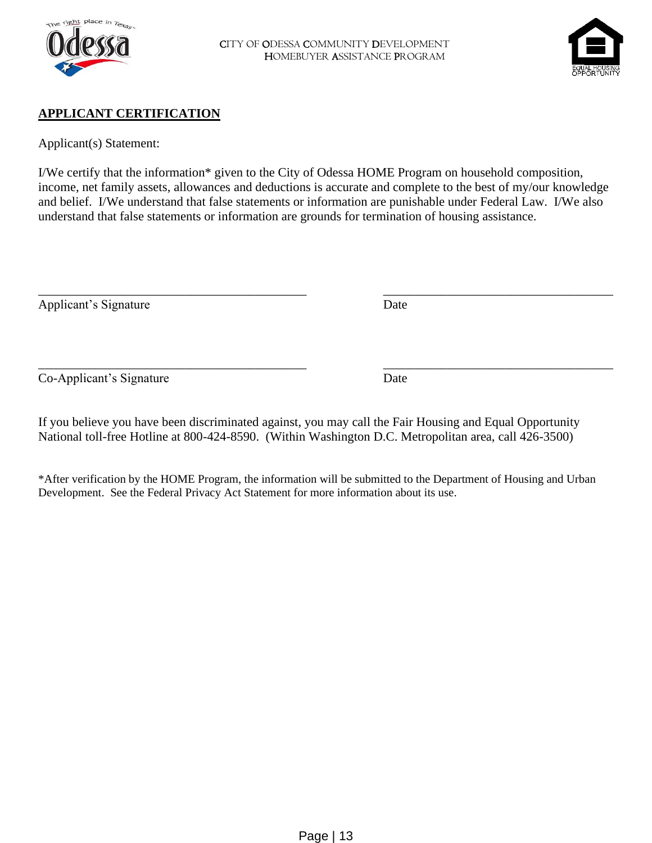



### **APPLICANT CERTIFICATION**

Applicant(s) Statement:

I/We certify that the information\* given to the City of Odessa HOME Program on household composition, income, net family assets, allowances and deductions is accurate and complete to the best of my/our knowledge and belief. I/We understand that false statements or information are punishable under Federal Law. I/We also understand that false statements or information are grounds for termination of housing assistance.

\_\_\_\_\_\_\_\_\_\_\_\_\_\_\_\_\_\_\_\_\_\_\_\_\_\_\_\_\_\_\_\_\_\_\_\_\_\_\_\_\_\_ \_\_\_\_\_\_\_\_\_\_\_\_\_\_\_\_\_\_\_\_\_\_\_\_\_\_\_\_\_\_\_\_\_\_\_\_

Applicant's Signature Date

Co-Applicant's Signature Date

\_\_\_\_\_\_\_\_\_\_\_\_\_\_\_\_\_\_\_\_\_\_\_\_\_\_\_\_\_\_\_\_\_\_\_\_\_\_\_\_\_\_ \_\_\_\_\_\_\_\_\_\_\_\_\_\_\_\_\_\_\_\_\_\_\_\_\_\_\_\_\_\_\_\_\_\_\_\_

If you believe you have been discriminated against, you may call the Fair Housing and Equal Opportunity National toll-free Hotline at 800-424-8590. (Within Washington D.C. Metropolitan area, call 426-3500)

\*After verification by the HOME Program, the information will be submitted to the Department of Housing and Urban Development. See the Federal Privacy Act Statement for more information about its use.